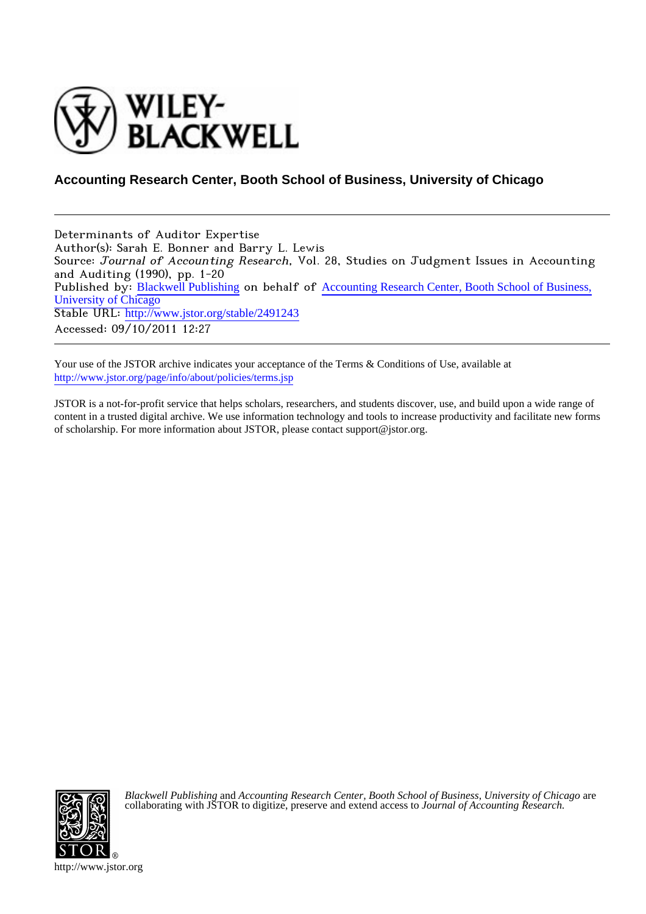

# **Accounting Research Center, Booth School of Business, University of Chicago**

Determinants of Auditor Expertise Author(s): Sarah E. Bonner and Barry L. Lewis Source: Journal of Accounting Research, Vol. 28, Studies on Judgment Issues in Accounting and Auditing (1990), pp. 1-20 Published by: [Blackwell Publishing](http://www.jstor.org/action/showPublisher?publisherCode=black) on behalf of [Accounting Research Center, Booth School of Business,](http://www.jstor.org/action/showPublisher?publisherCode=grad-uchicago) [University of Chicago](http://www.jstor.org/action/showPublisher?publisherCode=grad-uchicago) Stable URL: [http://www.jstor.org/stable/2491243](http://www.jstor.org/stable/2491243?origin=JSTOR-pdf) Accessed: 09/10/2011 12:27

Your use of the JSTOR archive indicates your acceptance of the Terms & Conditions of Use, available at <http://www.jstor.org/page/info/about/policies/terms.jsp>

JSTOR is a not-for-profit service that helps scholars, researchers, and students discover, use, and build upon a wide range of content in a trusted digital archive. We use information technology and tools to increase productivity and facilitate new forms of scholarship. For more information about JSTOR, please contact support@jstor.org.



*Blackwell Publishing* and *Accounting Research Center, Booth School of Business, University of Chicago* are collaborating with JSTOR to digitize, preserve and extend access to *Journal of Accounting Research.*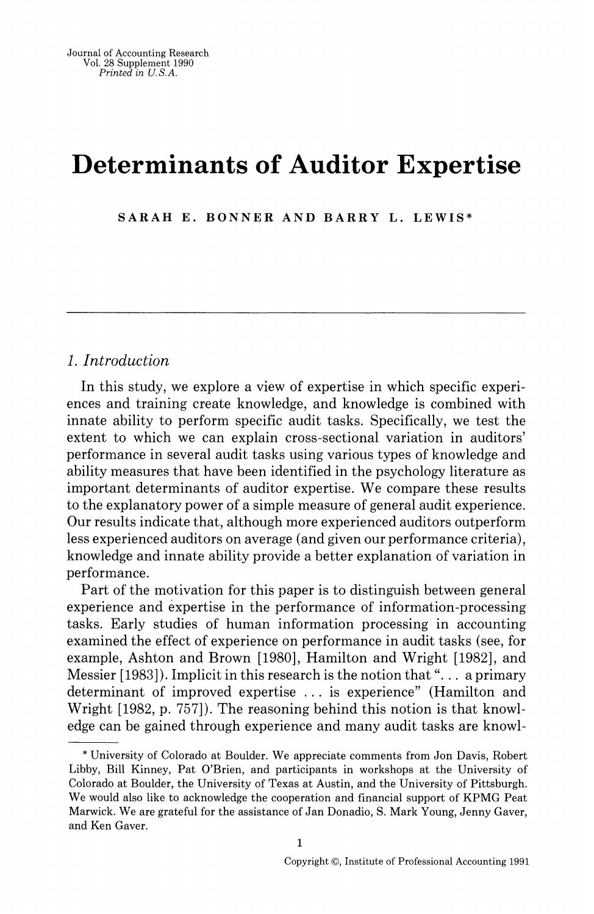# **Determinants of Auditor Expertise**

**SARAH E. BONNER AND BARRY L. LEWIS\*** 

# **1. Introduction**

**In this study, we explore a view of expertise in which specific experiences and training create knowledge, and knowledge is combined with innate ability to perform specific audit tasks. Specifically, we test the extent to which we can explain cross-sectional variation in auditors' performance in several audit tasks using various types of knowledge and ability measures that have been identified in the psychology literature as important determinants of auditor expertise. We compare these results to the explanatory power of a simple measure of general audit experience. Our results indicate that, although more experienced auditors outperform less experienced auditors on average (and given our performance criteria), knowledge and innate ability provide a better explanation of variation in performance.** 

**Part of the motivation for this paper is to distinguish between general experience and expertise in the performance of information-processing tasks. Early studies of human information processing in accounting examined the effect of experience on performance in audit tasks (see, for example, Ashton and Brown [1980], Hamilton and Wright [1982], and Messier [1983]). Implicit in this research is the notion that ". . . a primary determinant of improved expertise ... is experience" (Hamilton and Wright [1982, p. 757]). The reasoning behind this notion is that knowledge can be gained through experience and many audit tasks are knowl-** 

**<sup>\*</sup> University of Colorado at Boulder. We appreciate comments from Jon Davis, Robert Libby, Bill Kinney, Pat O'Brien, and participants in workshops at the University of Colorado at Boulder, the University of Texas at Austin, and the University of Pittsburgh. We would also like to acknowledge the cooperation and financial support of KPMG Peat Marwick. We are grateful for the assistance of Jan Donadio, S. Mark Young, Jenny Gaver, and Ken Gaver.**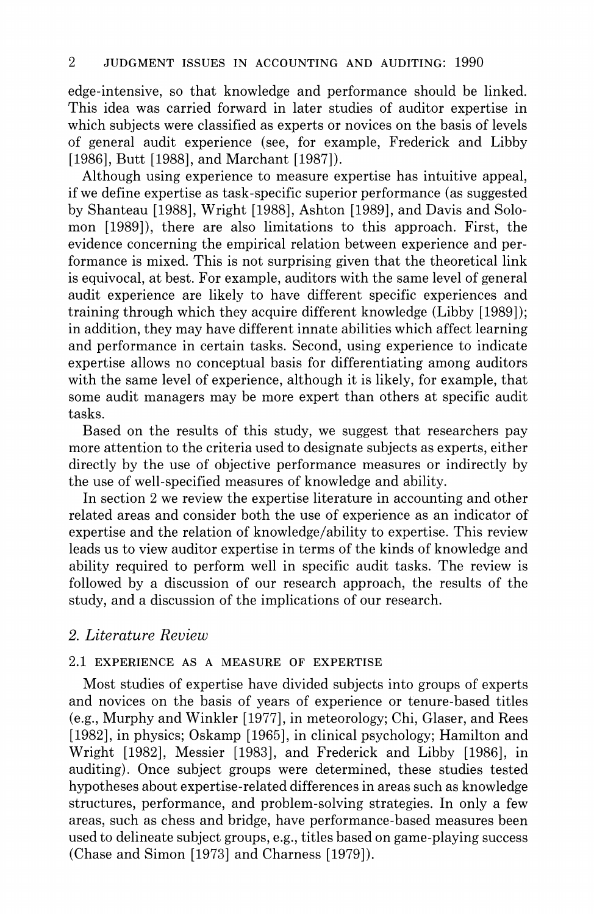**edge-intensive, so that knowledge and performance should be linked. This idea was carried forward in later studies of auditor expertise in which subjects were classified as experts or novices on the basis of levels of general audit experience (see, for example, Frederick and Libby [1986], Butt [1988], and Marchant [1987]).** 

**Although using experience to measure expertise has intuitive appeal, if we define expertise as task-specific superior performance (as suggested by Shanteau [1988], Wright [1988], Ashton [1989], and Davis and Solomon [1989]), there are also limitations to this approach. First, the evidence concerning the empirical relation between experience and performance is mixed. This is not surprising given that the theoretical link is equivocal, at best. For example, auditors with the same level of general audit experience are likely to have different specific experiences and training through which they acquire different knowledge (Libby [1989]); in addition, they may have different innate abilities which affect learning and performance in certain tasks. Second, using experience to indicate expertise allows no conceptual basis for differentiating among auditors with the same level of experience, although it is likely, for example, that some audit managers may be more expert than others at specific audit tasks.** 

**Based on the results of this study, we suggest that researchers pay more attention to the criteria used to designate subjects as experts, either directly by the use of objective performance measures or indirectly by the use of well-specified measures of knowledge and ability.** 

**In section 2 we review the expertise literature in accounting and other related areas and consider both the use of experience as an indicator of expertise and the relation of knowledge/ability to expertise. This review leads us to view auditor expertise in terms of the kinds of knowledge and ability required to perform well in specific audit tasks. The review is followed by a discussion of our research approach, the results of the study, and a discussion of the implications of our research.** 

# **2. Literature Review**

#### **2.1 EXPERIENCE AS A MEASURE OF EXPERTISE**

**Most studies of expertise have divided subjects into groups of experts and novices on the basis of years of experience or tenure-based titles (e.g., Murphy and Winkler [1977], in meteorology; Chi, Glaser, and Rees [1982], in physics; Oskamp [1965], in clinical psychology; Hamilton and Wright [1982], Messier [1983], and Frederick and Libby [1986], in auditing). Once subject groups were determined, these studies tested hypotheses about expertise-related differences in areas such as knowledge structures, performance, and problem-solving strategies. In only a few areas, such as chess and bridge, have performance-based measures been used to delineate subject groups, e.g., titles based on game-playing success (Chase and Simon [1973] and Charness [1979]).**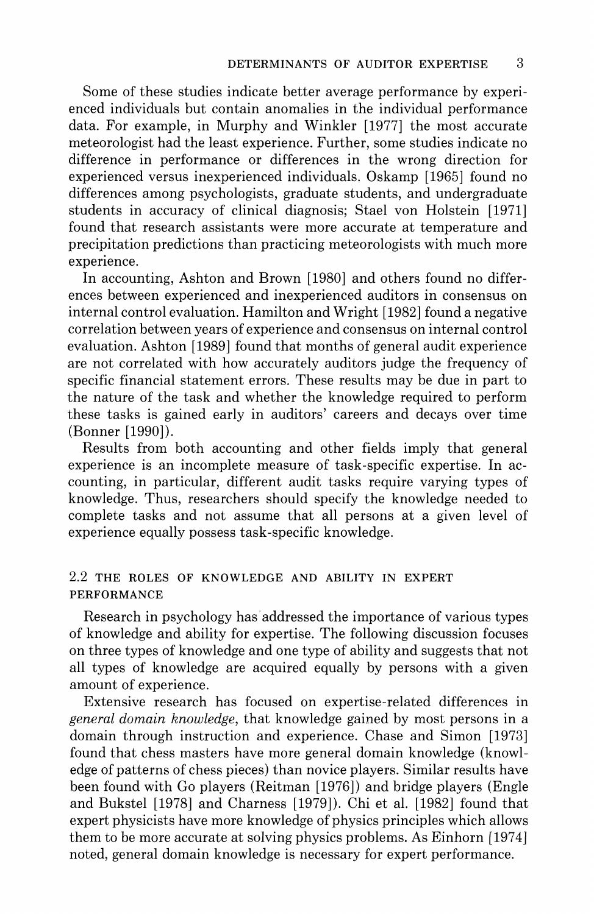**Some of these studies indicate better average performance by experienced individuals but contain anomalies in the individual performance data. For example, in Murphy and Winkler [1977] the most accurate meteorologist had the least experience. Further, some studies indicate no difference in performance or differences in the wrong direction for experienced versus inexperienced individuals. Oskamp [1965] found no differences among psychologists, graduate students, and undergraduate students in accuracy of clinical diagnosis; Stael von Holstein [1971] found that research assistants were more accurate at temperature and precipitation predictions than practicing meteorologists with much more experience.** 

**In accounting, Ashton and Brown [1980] and others found no differences between experienced and inexperienced auditors in consensus on internal control evaluation. Hamilton and Wright [1982] found a negative correlation between years of experience and consensus on internal control evaluation. Ashton [1989] found that months of general audit experience are not correlated with how accurately auditors judge the frequency of specific financial statement errors. These results may be due in part to the nature of the task and whether the knowledge required to perform these tasks is gained early in auditors' careers and decays over time (Bonner [1990]).** 

**Results from both accounting and other fields imply that general experience is an incomplete measure of task-specific expertise. In accounting, in particular, different audit tasks require varying types of knowledge. Thus, researchers should specify the knowledge needed to complete tasks and not assume that all persons at a given level of experience equally possess task-specific knowledge.** 

# **2.2 THE ROLES OF KNOWLEDGE AND ABILITY IN EXPERT PERFORMANCE**

**Research in psychology has addressed the importance of various types of knowledge and ability for expertise. The following discussion focuses on three types of knowledge and one type of ability and suggests that not all types of knowledge are acquired equally by persons with a given amount of experience.** 

**Extensive research has focused on expertise-related differences in general domain knowledge, that knowledge gained by most persons in a domain through instruction and experience. Chase and Simon [1973] found that chess masters have more general domain knowledge (knowledge of patterns of chess pieces) than novice players. Similar results have been found with Go players (Reitman [1976]) and bridge players (Engle and Bukstel [1978] and Charness [1979]). Chi et al. [1982] found that expert physicists have more knowledge of physics principles which allows them to be more accurate at solving physics problems. As Einhorn [1974] noted, general domain knowledge is necessary for expert performance.**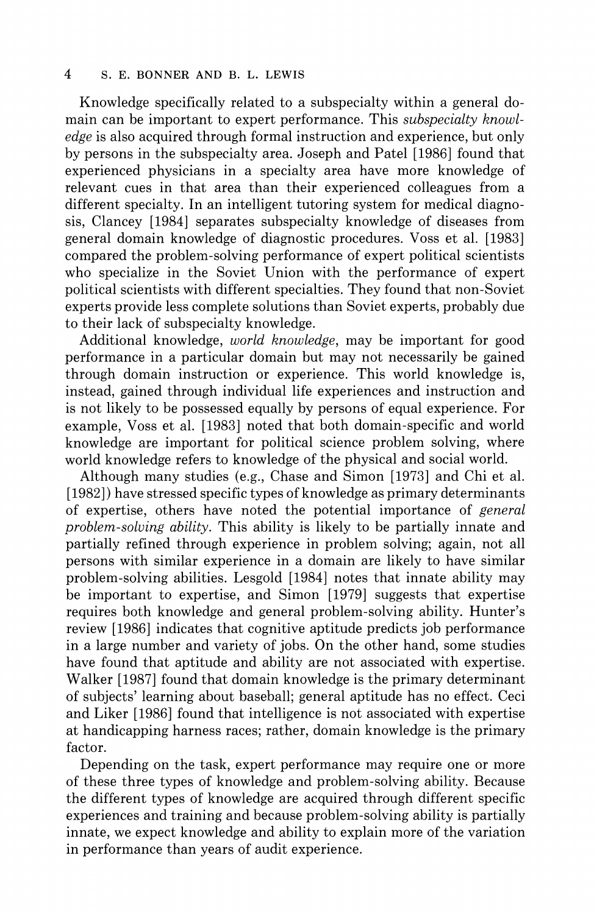#### **4 S. E. BONNER AND B. L. LEWIS**

**Knowledge specifically related to a subspecialty within a general domain can be important to expert performance. This subspecialty knowledge is also acquired through formal instruction and experience, but only by persons in the subspecialty area. Joseph and Patel [1986] found that experienced physicians in a specialty area have more knowledge of relevant cues in that area than their experienced colleagues from a different specialty. In an intelligent tutoring system for medical diagnosis, Clancey [1984] separates subspecialty knowledge of diseases from general domain knowledge of diagnostic procedures. Voss et al. [1983] compared the problem-solving performance of expert political scientists who specialize in the Soviet Union with the performance of expert political scientists with different specialties. They found that non-Soviet experts provide less complete solutions than Soviet experts, probably due to their lack of subspecialty knowledge.** 

**Additional knowledge, world knowledge, may be important for good performance in a particular domain but may not necessarily be gained through domain instruction or experience. This world knowledge is, instead, gained through individual life experiences and instruction and is not likely to be possessed equally by persons of equal experience. For example, Voss et al. [1983] noted that both domain-specific and world knowledge are important for political science problem solving, where world knowledge refers to knowledge of the physical and social world.** 

**Although many studies (e.g., Chase and Simon [1973] and Chi et al. [1982]) have stressed specific types of knowledge as primary determinants of expertise, others have noted the potential importance of general problem-solving ability. This ability is likely to be partially innate and partially refined through experience in problem solving; again, not all persons with similar experience in a domain are likely to have similar problem-solving abilities. Lesgold [1984] notes that innate ability may be important to expertise, and Simon [1979] suggests that expertise requires both knowledge and general problem-solving ability. Hunter's review [1986] indicates that cognitive aptitude predicts job performance in a large number and variety of jobs. On the other hand, some studies have found that aptitude and ability are not associated with expertise. Walker [1987] found that domain knowledge is the primary determinant of subjects' learning about baseball; general aptitude has no effect. Ceci and Liker [1986] found that intelligence is not associated with expertise at handicapping harness races; rather, domain knowledge is the primary factor.** 

**Depending on the task, expert performance may require one or more of these three types of knowledge and problem-solving ability. Because the different types of knowledge are acquired through different specific experiences and training and because problem-solving ability is partially innate, we expect knowledge and ability to explain more of the variation in performance than years of audit experience.**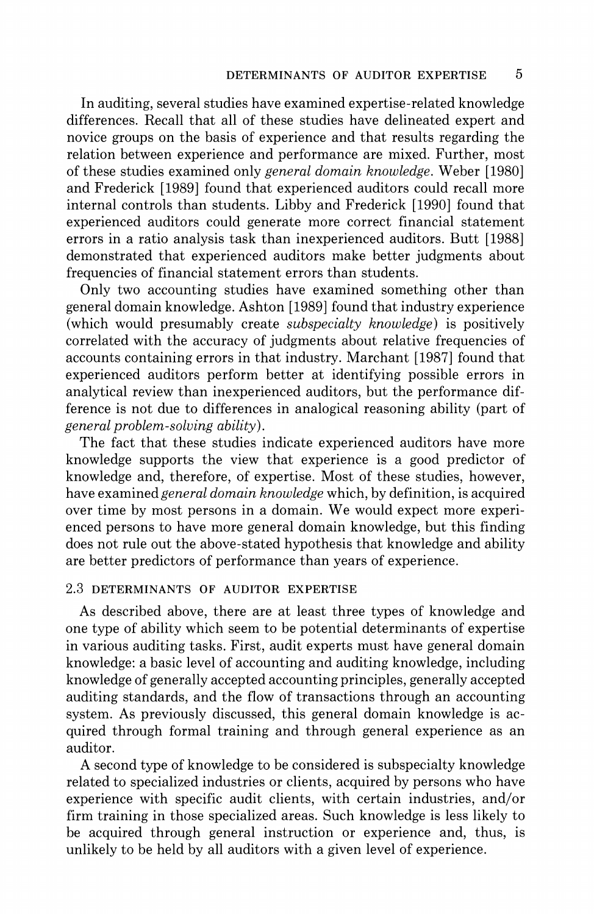**In auditing, several studies have examined expertise-related knowledge differences. Recall that all of these studies have delineated expert and novice groups on the basis of experience and that results regarding the relation between experience and performance are mixed. Further, most of these studies examined only general domain knowledge. Weber [1980] and Frederick [1989] found that experienced auditors could recall more internal controls than students. Libby and Frederick [1990] found that experienced auditors could generate more correct financial statement errors in a ratio analysis task than inexperienced auditors. Butt [1988] demonstrated that experienced auditors make better judgments about frequencies of financial statement errors than students.** 

**Only two accounting studies have examined something other than general domain knowledge. Ashton [1989] found that industry experience (which would presumably create subspecialty knowledge) is positively correlated with the accuracy of judgments about relative frequencies of accounts containing errors in that industry. Marchant [1987] found that experienced auditors perform better at identifying possible errors in analytical review than inexperienced auditors, but the performance difference is not due to differences in analogical reasoning ability (part of general problem-solving ability).** 

**The fact that these studies indicate experienced auditors have more knowledge supports the view that experience is a good predictor of knowledge and, therefore, of expertise. Most of these studies, however, have examined general domain knowledge which, by definition, is acquired over time by most persons in a domain. We would expect more experienced persons to have more general domain knowledge, but this finding does not rule out the above-stated hypothesis that knowledge and ability are better predictors of performance than years of experience.** 

#### **2.3 DETERMINANTS OF AUDITOR EXPERTISE**

**As described above, there are at least three types of knowledge and one type of ability which seem to be potential determinants of expertise in various auditing tasks. First, audit experts must have general domain knowledge: a basic level of accounting and auditing knowledge, including knowledge of generally accepted accounting principles, generally accepted auditing standards, and the flow of transactions through an accounting system. As previously discussed, this general domain knowledge is acquired through formal training and through general experience as an auditor.** 

**A second type of knowledge to be considered is subspecialty knowledge related to specialized industries or clients, acquired by persons who have experience with specific audit clients, with certain industries, and/or firm training in those specialized areas. Such knowledge is less likely to be acquired through general instruction or experience and, thus, is unlikely to be held by all auditors with a given level of experience.**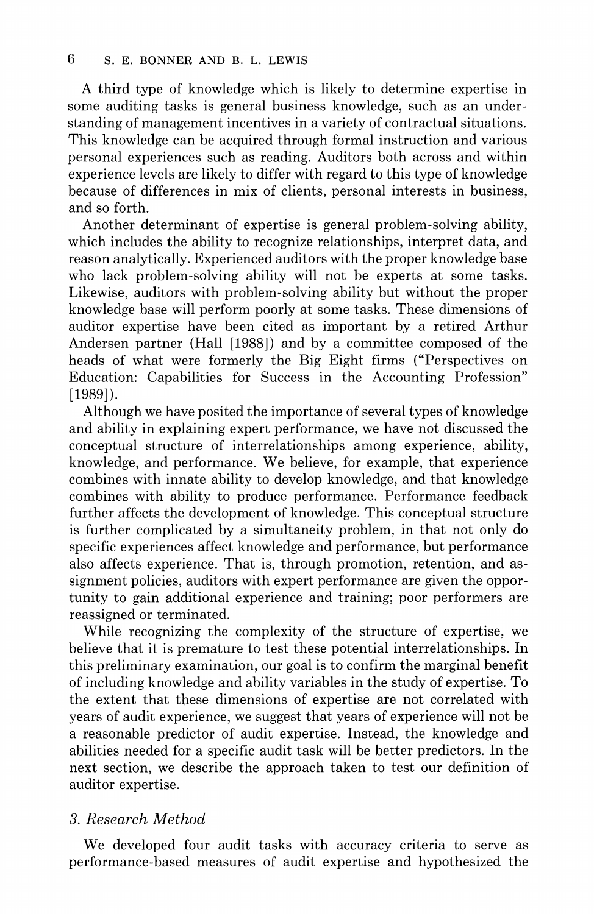**A third type of knowledge which is likely to determine expertise in some auditing tasks is general business knowledge, such as an understanding of management incentives in a variety of contractual situations. This knowledge can be acquired through formal instruction and various personal experiences such as reading. Auditors both across and within experience levels are likely to differ with regard to this type of knowledge because of differences in mix of clients, personal interests in business, and so forth.** 

**Another determinant of expertise is general problem-solving ability, which includes the ability to recognize relationships, interpret data, and reason analytically. Experienced auditors with the proper knowledge base who lack problem-solving ability will not be experts at some tasks. Likewise, auditors with problem-solving ability but without the proper knowledge base will perform poorly at some tasks. These dimensions of auditor expertise have been cited as important by a retired Arthur Andersen partner (Hall [1988]) and by a committee composed of the heads of what were formerly the Big Eight firms ("Perspectives on Education: Capabilities for Success in the Accounting Profession" [1989]).** 

**Although we have posited the importance of several types of knowledge and ability in explaining expert performance, we have not discussed the conceptual structure of interrelationships among experience, ability, knowledge, and performance. We believe, for example, that experience combines with innate ability to develop knowledge, and that knowledge combines with ability to produce performance. Performance feedback further affects the development of knowledge. This conceptual structure is further complicated by a simultaneity problem, in that not only do specific experiences affect knowledge and performance, but performance also affects experience. That is, through promotion, retention, and assignment policies, auditors with expert performance are given the opportunity to gain additional experience and training; poor performers are reassigned or terminated.** 

**While recognizing the complexity of the structure of expertise, we believe that it is premature to test these potential interrelationships. In this preliminary examination, our goal is to confirm the marginal benefit of including knowledge and ability variables in the study of expertise. To the extent that these dimensions of expertise are not correlated with years of audit experience, we suggest that years of experience will not be a reasonable predictor of audit expertise. Instead, the knowledge and abilities needed for a specific audit task will be better predictors. In the next section, we describe the approach taken to test our definition of auditor expertise.** 

# **3. Research Method**

**We developed four audit tasks with accuracy criteria to serve as performance-based measures of audit expertise and hypothesized the**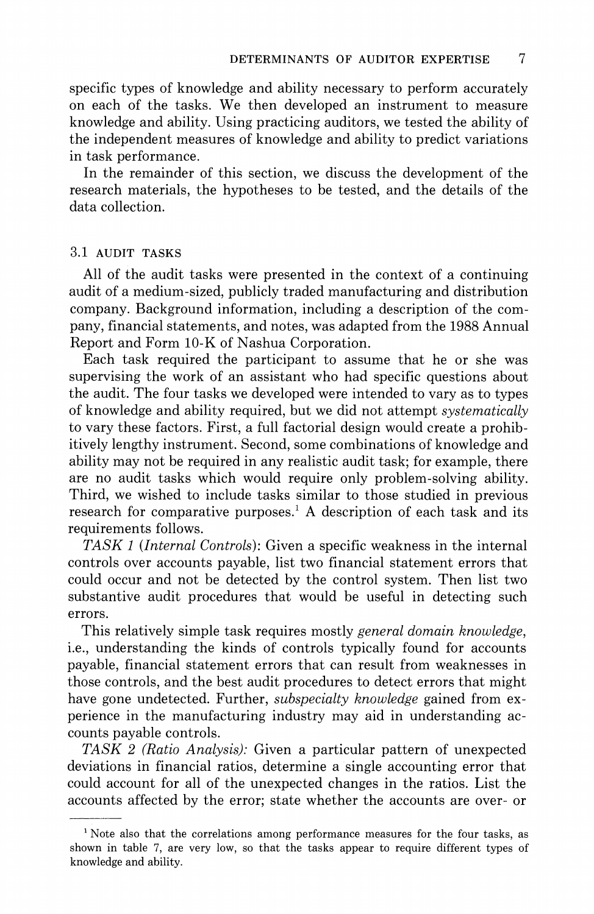**specific types of knowledge and ability necessary to perform accurately on each of the tasks. We then developed an instrument to measure knowledge and ability. Using practicing auditors, we tested the ability of the independent measures of knowledge and ability to predict variations in task performance.** 

**In the remainder of this section, we discuss the development of the research materials, the hypotheses to be tested, and the details of the data collection.** 

# **3.1 AUDIT TASKS**

**All of the audit tasks were presented in the context of a continuing audit of a medium-sized, publicly traded manufacturing and distribution company. Background information, including a description of the company, financial statements, and notes, was adapted from the 1988 Annual Report and Form 10-K of Nashua Corporation.** 

**Each task required the participant to assume that he or she was supervising the work of an assistant who had specific questions about the audit. The four tasks we developed were intended to vary as to types of knowledge and ability required, but we did not attempt systematically to vary these factors. First, a full factorial design would create a prohibitively lengthy instrument. Second, some combinations of knowledge and ability may not be required in any realistic audit task; for example, there are no audit tasks which would require only problem-solving ability. Third, we wished to include tasks similar to those studied in previous research for comparative purposes.' A description of each task and its requirements follows.** 

**TASK 1 (Internal Controls): Given a specific weakness in the internal controls over accounts payable, list two financial statement errors that could occur and not be detected by the control system. Then list two substantive audit procedures that would be useful in detecting such errors.** 

**This relatively simple task requires mostly general domain knowledge, i.e., understanding the kinds of controls typically found for accounts payable, financial statement errors that can result from weaknesses in those controls, and the best audit procedures to detect errors that might have gone undetected. Further, subspecialty knowledge gained from experience in the manufacturing industry may aid in understanding accounts payable controls.** 

**TASK 2 (Ratio Analysis): Given a particular pattern of unexpected deviations in financial ratios, determine a single accounting error that could account for all of the unexpected changes in the ratios. List the accounts affected by the error; state whether the accounts are over- or** 

**<sup>1</sup> Note also that the correlations among performance measures for the four tasks, as shown in table 7, are very low, so that the tasks appear to require different types of knowledge and ability.**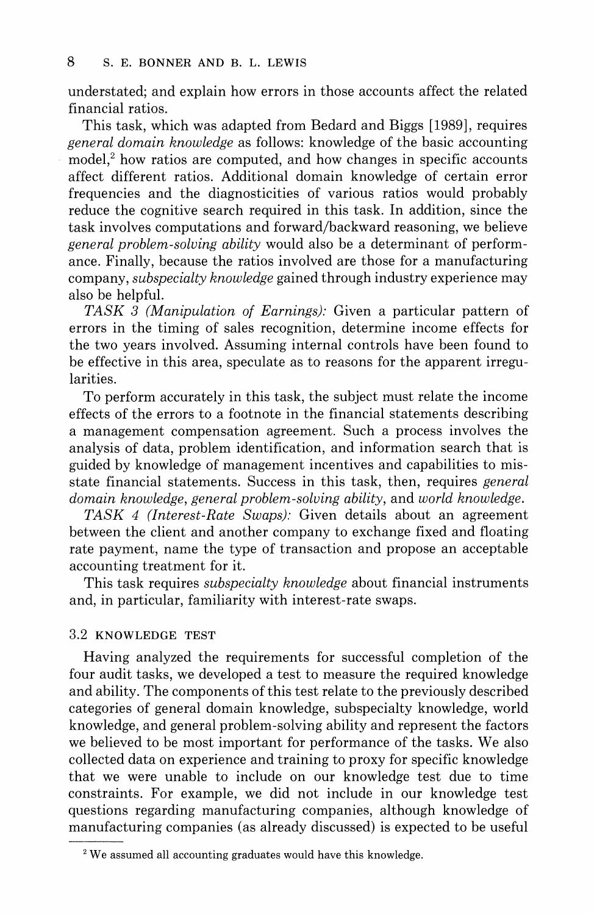**understated; and explain how errors in those accounts affect the related financial ratios.** 

**This task, which was adapted from Bedard and Biggs [1989], requires general domain knowledge as follows: knowledge of the basic accounting model,2 how ratios are computed, and how changes in specific accounts affect different ratios. Additional domain knowledge of certain error frequencies and the diagnosticities of various ratios would probably reduce the cognitive search required in this task. In addition, since the task involves computations and forward/backward reasoning, we believe general problem-solving ability would also be a determinant of performance. Finally, because the ratios involved are those for a manufacturing company, subspecialty knowledge gained through industry experience may also be helpful.** 

**TASK 3 (Manipulation of Earnings): Given a particular pattern of errors in the timing of sales recognition, determine income effects for the two years involved. Assuming internal controls have been found to be effective in this area, speculate as to reasons for the apparent irregularities.** 

**To perform accurately in this task, the subject must relate the income effects of the errors to a footnote in the financial statements describing a management compensation agreement. Such a process involves the analysis of data, problem identification, and information search that is guided by knowledge of management incentives and capabilities to misstate financial statements. Success in this task, then, requires general domain knowledge, general problem-solving ability, and world knowledge.** 

**TASK 4 (Interest-Rate Swaps): Given details about an agreement between the client and another company to exchange fixed and floating rate payment, name the type of transaction and propose an acceptable accounting treatment for it.** 

**This task requires subspecialty knowledge about financial instruments and, in particular, familiarity with interest-rate swaps.** 

# **3.2 KNOWLEDGE TEST**

**Having analyzed the requirements for successful completion of the four audit tasks, we developed a test to measure the required knowledge and ability. The components of this test relate to the previously described categories of general domain knowledge, subspecialty knowledge, world knowledge, and general problem-solving ability and represent the factors we believed to be most important for performance of the tasks. We also collected data on experience and training to proxy for specific knowledge that we were unable to include on our knowledge test due to time constraints. For example, we did not include in our knowledge test questions regarding manufacturing companies, although knowledge of manufacturing companies (as already discussed) is expected to be useful** 

**<sup>2</sup> We assumed all accounting graduates would have this knowledge.**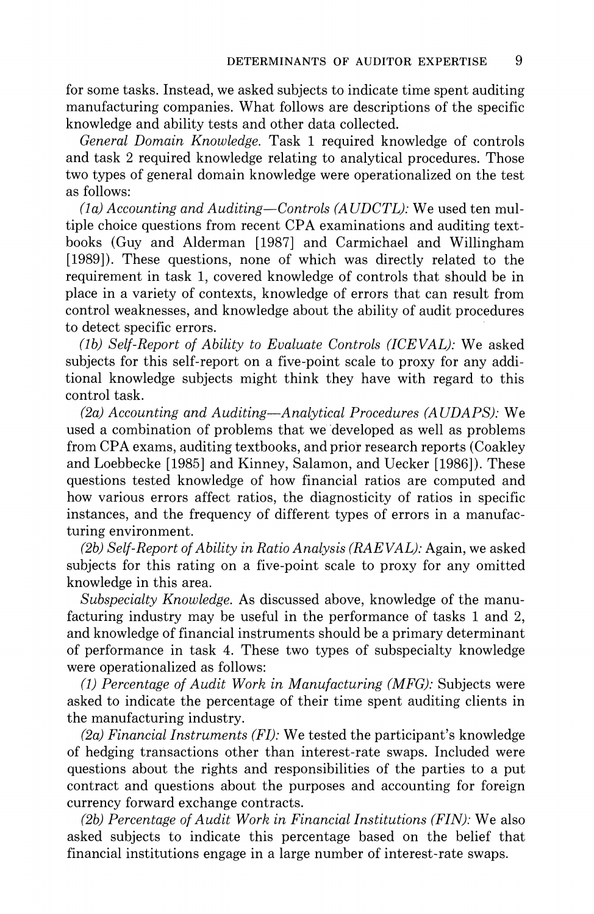**for some tasks. Instead, we asked subjects to indicate time spent auditing manufacturing companies. What follows are descriptions of the specific knowledge and ability tests and other data collected.** 

**General Domain Knowledge. Task 1 required knowledge of controls and task 2 required knowledge relating to analytical procedures. Those two types of general domain knowledge were operationalized on the test as follows:** 

**(la) Accounting and Auditing-Controls (A UDCTL): We used ten multiple choice questions from recent CPA examinations and auditing textbooks (Guy and Alderman [1987] and Carmichael and Willingham [1989]). These questions, none of which was directly related to the requirement in task 1, covered knowledge of controls that should be in place in a variety of contexts, knowledge of errors that can result from control weaknesses, and knowledge about the ability of audit procedures to detect specific errors.** 

**(lb) Self-Report of Ability to Evaluate Controls (ICEVAL): We asked subjects for this self-report on a five-point scale to proxy for any additional knowledge subjects might think they have with regard to this control task.** 

**(2a) Accounting and Auditing-Analytical Procedures (A UDAPS): We used a combination of problems that we developed as well as problems from CPA exams, auditing textbooks, and prior research reports (Coakley and Loebbecke [1985] and Kinney, Salamon, and Uecker [1986]). These questions tested knowledge of how financial ratios are computed and how various errors affect ratios, the diagnosticity of ratios in specific instances, and the frequency of different types of errors in a manufacturing environment.** 

**(2b) Self-Report of Ability in Ratio Analysis (RAE VAL): Again, we asked subjects for this rating on a five-point scale to proxy for any omitted knowledge in this area.** 

**Subspecialty Knowledge. As discussed above, knowledge of the manufacturing industry may be useful in the performance of tasks 1 and 2, and knowledge of financial instruments should be a primary determinant of performance in task 4. These two types of subspecialty knowledge were operationalized as follows:** 

**(1) Percentage of Audit Work in Manufacturing (MFG): Subjects were asked to indicate the percentage of their time spent auditing clients in the manufacturing industry.** 

**(2a) Financial Instruments (FI): We tested the participant's knowledge of hedging transactions other than interest-rate swaps. Included were questions about the rights and responsibilities of the parties to a put contract and questions about the purposes and accounting for foreign currency forward exchange contracts.** 

**(2b) Percentage of Audit Work in Financial Institutions (FIN): We also asked subjects to indicate this percentage based on the belief that financial institutions engage in a large number of interest-rate swaps.**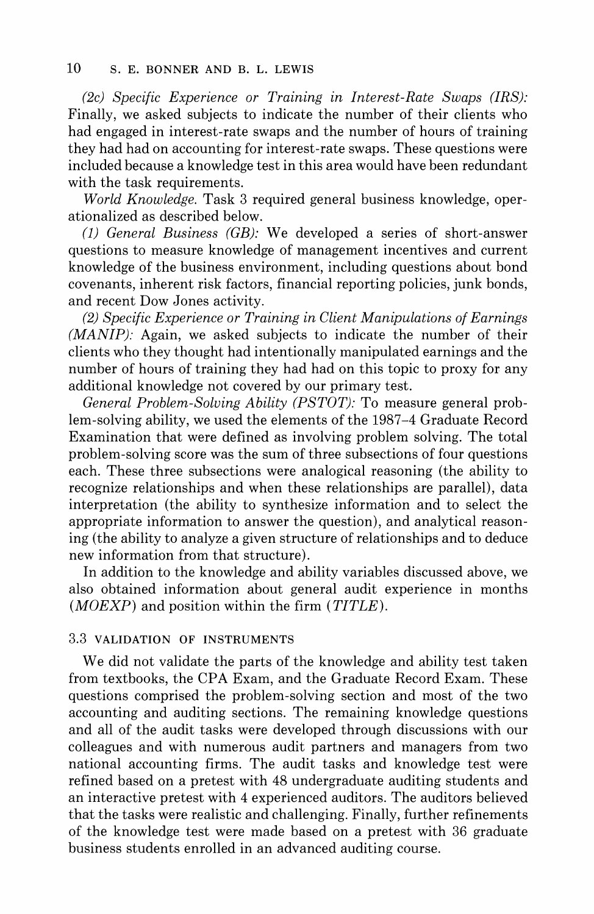**(2c) Specific Experience or Training in Interest-Rate Swaps (IRS): Finally, we asked subjects to indicate the number of their clients who had engaged in interest-rate swaps and the number of hours of training they had had on accounting for interest-rate swaps. These questions were included because a knowledge test in this area would have been redundant with the task requirements.** 

**World Knowledge. Task 3 required general business knowledge, operationalized as described below.** 

**(1) General Business (GB): We developed a series of short-answer questions to measure knowledge of management incentives and current knowledge of the business environment, including questions about bond covenants, inherent risk factors, financial reporting policies, junk bonds, and recent Dow Jones activity.** 

**(2) Specific Experience or Training in Client Manipulations of Earnings (MANIP): Again, we asked subjects to indicate the number of their clients who they thought had intentionally manipulated earnings and the number of hours of training they had had on this topic to proxy for any additional knowledge not covered by our primary test.** 

**General Problem-Solving Ability (PSTOT): To measure general problem-solving ability, we used the elements of the 1987-4 Graduate Record Examination that were defined as involving problem solving. The total problem-solving score was the sum of three subsections of four questions each. These three subsections were analogical reasoning (the ability to recognize relationships and when these relationships are parallel), data interpretation (the ability to synthesize information and to select the appropriate information to answer the question), and analytical reasoning (the ability to analyze a given structure of relationships and to deduce new information from that structure).** 

**In addition to the knowledge and ability variables discussed above, we also obtained information about general audit experience in months (MOEXP) and position within the firm (TITLE).** 

# **3.3 VALIDATION OF INSTRUMENTS**

**We did not validate the parts of the knowledge and ability test taken from textbooks, the CPA Exam, and the Graduate Record Exam. These questions comprised the problem-solving section and most of the two accounting and auditing sections. The remaining knowledge questions and all of the audit tasks were developed through discussions with our colleagues and with numerous audit partners and managers from two national accounting firms. The audit tasks and knowledge test were refined based on a pretest with 48 undergraduate auditing students and an interactive pretest with 4 experienced auditors. The auditors believed that the tasks were realistic and challenging. Finally, further refinements of the knowledge test were made based on a pretest with 36 graduate business students enrolled in an advanced auditing course.**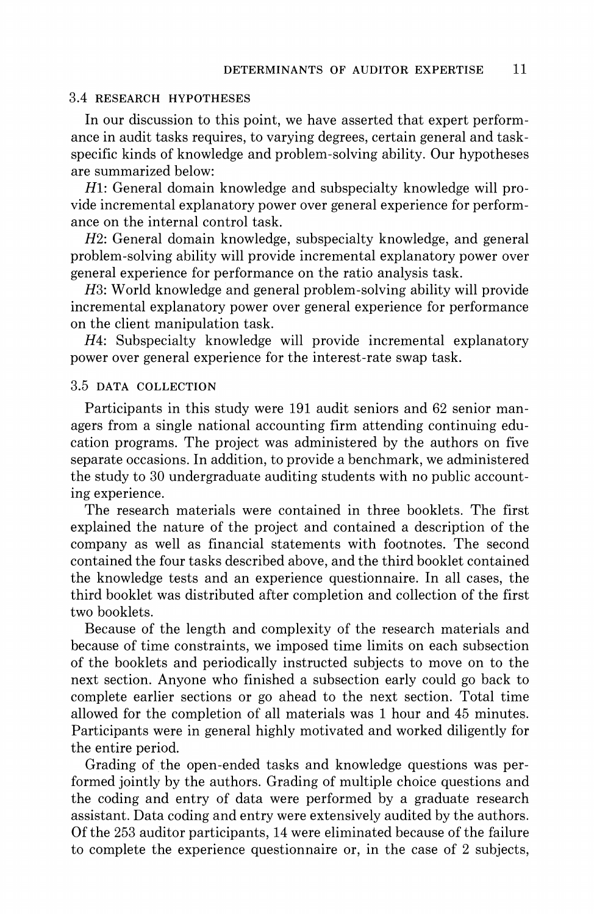#### **3.4 RESEARCH HYPOTHESES**

**In our discussion to this point, we have asserted that expert performance in audit tasks requires, to varying degrees, certain general and taskspecific kinds of knowledge and problem-solving ability. Our hypotheses are summarized below:** 

**Hi: General domain knowledge and subspecialty knowledge will provide incremental explanatory power over general experience for performance on the internal control task.** 

**H2: General domain knowledge, subspecialty knowledge, and general problem-solving ability will provide incremental explanatory power over general experience for performance on the ratio analysis task.** 

**H3: World knowledge and general problem-solving ability will provide incremental explanatory power over general experience for performance on the client manipulation task.** 

**H4: Subspecialty knowledge will provide incremental explanatory power over general experience for the interest-rate swap task.** 

#### **3.5 DATA COLLECTION**

**Participants in this study were 191 audit seniors and 62 senior managers from a single national accounting firm attending continuing education programs. The project was administered by the authors on five separate occasions. In addition, to provide a benchmark, we administered the study to 30 undergraduate auditing students with no public accounting experience.** 

**The research materials were contained in three booklets. The first explained the nature of the project and contained a description of the company as well as financial statements with footnotes. The second contained the four tasks described above, and the third booklet contained the knowledge tests and an experience questionnaire. In all cases, the third booklet was distributed after completion and collection of the first two booklets.** 

**Because of the length and complexity of the research materials and because of time constraints, we imposed time limits on each subsection of the booklets and periodically instructed subjects to move on to the next section. Anyone who finished a subsection early could go back to complete earlier sections or go ahead to the next section. Total time allowed for the completion of all materials was 1 hour and 45 minutes. Participants were in general highly motivated and worked diligently for the entire period.** 

**Grading of the open-ended tasks and knowledge questions was performed jointly by the authors. Grading of multiple choice questions and the coding and entry of data were performed by a graduate research assistant. Data coding and entry were extensively audited by the authors. Of the 253 auditor participants, 14 were eliminated because of the failure to complete the experience questionnaire or, in the case of 2 subjects,**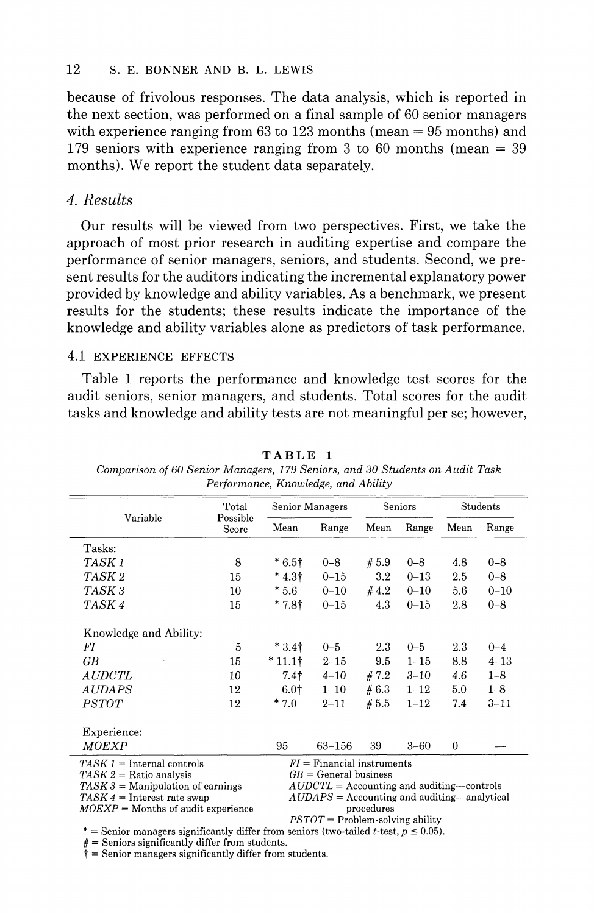#### **12 S. E. BONNER AND B. L. LEWIS**

**because of frivolous responses. The data analysis, which is reported in the next section, was performed on a final sample of 60 senior managers with experience ranging from 63 to 123 months (mean = 95 months) and 179 seniors with experience ranging from 3 to 60 months (mean = 39 months). We report the student data separately.** 

# **4. Results**

**Our results will be viewed from two perspectives. First, we take the approach of most prior research in auditing expertise and compare the performance of senior managers, seniors, and students. Second, we present results for the auditors indicating the incremental explanatory power provided by knowledge and ability variables. As a benchmark, we present results for the students; these results indicate the importance of the knowledge and ability variables alone as predictors of task performance.** 

#### **4.1 EXPERIENCE EFFECTS**

**Table 1 reports the performance and knowledge test scores for the audit seniors, senior managers, and students. Total scores for the audit tasks and knowledge and ability tests are not meaningful per se; however,** 

|                                                                                                                                                                         | Total                                                                                                                                                                                                       |                  | Senior Managers |         | Seniors  | Students |          |  |  |
|-------------------------------------------------------------------------------------------------------------------------------------------------------------------------|-------------------------------------------------------------------------------------------------------------------------------------------------------------------------------------------------------------|------------------|-----------------|---------|----------|----------|----------|--|--|
| Variable                                                                                                                                                                | Possible<br>Score                                                                                                                                                                                           | Mean             | Range           | Mean    | Range    | Mean     | Range    |  |  |
| Tasks:                                                                                                                                                                  |                                                                                                                                                                                                             |                  |                 |         |          |          |          |  |  |
| TASK 1                                                                                                                                                                  | 8                                                                                                                                                                                                           | $*6.5\dagger$    | $0 - 8$         | # 5.9   | $0 - 8$  | 4.8      | $0 - 8$  |  |  |
| TASK <sub>2</sub>                                                                                                                                                       | 15                                                                                                                                                                                                          | $*4.3\dagger$    | $0 - 15$        | $3.2\,$ | $0 - 13$ | 2.5      | $0 - 8$  |  |  |
| TASK 3                                                                                                                                                                  | 10                                                                                                                                                                                                          | $*5.6$           | $0 - 10$        | #4.2    | $0 - 10$ | 5.6      | $0 - 10$ |  |  |
| TASK <sub>4</sub>                                                                                                                                                       | 15                                                                                                                                                                                                          | $*7.8\dagger$    | $0 - 15$        | 4.3     | $0 - 15$ | 2.8      | $0 - 8$  |  |  |
| Knowledge and Ability:                                                                                                                                                  |                                                                                                                                                                                                             |                  |                 |         |          |          |          |  |  |
| FI                                                                                                                                                                      | 5                                                                                                                                                                                                           | $*3.4\dagger$    | $0 - 5$         | 2.3     | $0 - 5$  | 2.3      | $0 - 4$  |  |  |
| GB                                                                                                                                                                      | 15                                                                                                                                                                                                          | $*11.1\dagger$   | $2 - 15$        | 9.5     | $1 - 15$ | 8.8      | $4 - 13$ |  |  |
| <i>AUDCTL</i>                                                                                                                                                           | 10                                                                                                                                                                                                          | 7.4 <sup>†</sup> | $4 - 10$        | #7.2    | $3 - 10$ | 4.6      | $1 - 8$  |  |  |
| <b>AUDAPS</b>                                                                                                                                                           | 12                                                                                                                                                                                                          | $6.0+$           | $1 - 10$        | #6.3    | $1 - 12$ | 5.0      | $1 - 8$  |  |  |
| PSTOT                                                                                                                                                                   | 12                                                                                                                                                                                                          | $*7.0$           | $2 - 11$        | # 5.5   | $1 - 12$ | 7.4      | $3 - 11$ |  |  |
| Experience:                                                                                                                                                             |                                                                                                                                                                                                             |                  |                 |         |          |          |          |  |  |
| MOEXP                                                                                                                                                                   |                                                                                                                                                                                                             | 95               | 63-156          | 39      | $3 - 60$ | $\bf{0}$ |          |  |  |
| $TASK 1 = Internal controls$<br>$TASK 2 = Ratio analysis$<br>$TASK3 =$ Manipulation of earnings<br>$TASK4 = Interest rate swap$<br>$MOEXP =$ Months of audit experience | $FI =$ Financial instruments<br>$GB = General$ business<br>$AUDCTL =$ Accounting and auditing—controls<br>$AUDAPS =$ Accounting and auditing—analytical<br>procedures<br>$PSTOT = Problem$ -solving ability |                  |                 |         |          |          |          |  |  |

**TABLE 1** 

| Comparison of 60 Senior Managers, 179 Seniors, and 30 Students on Audit Task |                                     |  |  |  |
|------------------------------------------------------------------------------|-------------------------------------|--|--|--|
|                                                                              | Performance, Knowledge, and Ability |  |  |  |

# = Seniors significantly differ from students.<br>† = Senior managers significantly differ from students.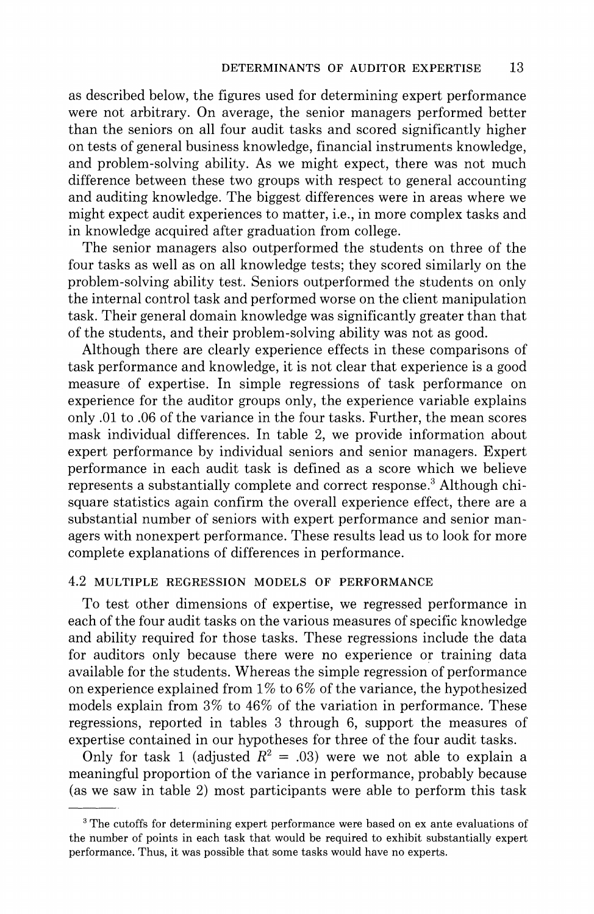**as described below, the figures used for determining expert performance were not arbitrary. On average, the senior managers performed better than the seniors on all four audit tasks and scored significantly higher on tests of general business knowledge, financial instruments knowledge, and problem-solving ability. As we might expect, there was not much difference between these two groups with respect to general accounting and auditing knowledge. The biggest differences were in areas where we might expect audit experiences to matter, i.e., in more complex tasks and in knowledge acquired after graduation from college.** 

**The senior managers also outperformed the students on three of the four tasks as well as on all knowledge tests; they scored similarly on the problem-solving ability test. Seniors outperformed the students on only the internal control task and performed worse on the client manipulation task. Their general domain knowledge was significantly greater than that of the students, and their problem-solving ability was not as good.** 

**Although there are clearly experience effects in these comparisons of task performance and knowledge, it is not clear that experience is a good measure of expertise. In simple regressions of task performance on experience for the auditor groups only, the experience variable explains only .01 to .06 of the variance in the four tasks. Further, the mean scores mask individual differences. In table 2, we provide information about expert performance by individual seniors and senior managers. Expert performance in each audit task is defined as a score which we believe represents a substantially complete and correct response.3 Although chisquare statistics again confirm the overall experience effect, there are a substantial number of seniors with expert performance and senior managers with nonexpert performance. These results lead us to look for more complete explanations of differences in performance.** 

# **4.2 MULTIPLE REGRESSION MODELS OF PERFORMANCE**

**To test other dimensions of expertise, we regressed performance in each of the four audit tasks on the various measures of specific knowledge and ability required for those tasks. These regressions include the data for auditors only because there were no experience or training data available for the students. Whereas the simple regression of performance on experience explained from 1% to 6% of the variance, the hypothesized models explain from 3% to 46% of the variation in performance. These regressions, reported in tables 3 through 6, support the measures of expertise contained in our hypotheses for three of the four audit tasks.** 

Only for task 1 (adjusted  $R^2 = .03$ ) were we not able to explain a **meaningful proportion of the variance in performance, probably because (as we saw in table 2) most participants were able to perform this task** 

**<sup>3</sup>The cutoffs for determining expert performance were based on ex ante evaluations of the number of points in each task that would be required to exhibit substantially expert performance. Thus, it was possible that some tasks would have no experts.**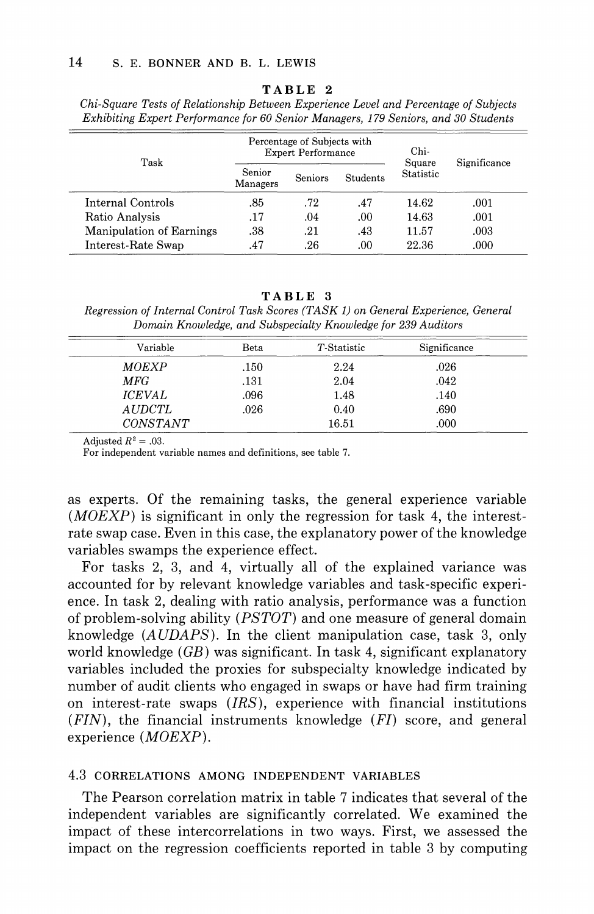#### **TABLE 2**

**Chi-Square Tests of Relationship Between Experience Level and Percentage of Subjects Exhibiting Expert Performance for 60 Senior Managers, 179 Seniors, and 30 Students** 

| Task                            |                    | Percentage of Subjects with<br><b>Expert Performance</b> | Chi-<br>Square  | Significance |      |  |
|---------------------------------|--------------------|----------------------------------------------------------|-----------------|--------------|------|--|
|                                 | Senior<br>Managers | Seniors                                                  | <b>Students</b> | Statistic    |      |  |
| Internal Controls               | .85                | .72                                                      | .47             | 14.62        | .001 |  |
| Ratio Analysis                  | .17                | .04                                                      | .00             | 14.63        | .001 |  |
| <b>Manipulation of Earnings</b> | -38                | .21                                                      | .43             | 11.57        | .003 |  |
| Interest-Rate Swap              | .47                | .26                                                      | .00             | 22.36        | .000 |  |

**TABLE 3** 

**Regression of Internal Control Task Scores (TASK 1) on General Experience, General Domain Knowledge, and Subspecialty Knowledge for 239 Auditors** 

| Variable        | Beta | T Statistic | Significance |
|-----------------|------|-------------|--------------|
| <b>MOEXP</b>    | .150 | 2.24        | .026         |
| <b>MFG</b>      | .131 | 2.04        | .042         |
| <b>ICEVAL</b>   | .096 | 1.48        | .140         |
| <b>AUDCTL</b>   | .026 | 0.40        | .690         |
| <i>CONSTANT</i> |      | 16.51       | .000         |

Adjusted  $R^2 = .03$ .

**For independent variable names and definitions, see table 7.** 

**as experts. Of the remaining tasks, the general experience variable (MOEXP) is significant in only the regression for task 4, the interestrate swap case. Even in this case, the explanatory power of the knowledge variables swamps the experience effect.** 

**For tasks 2, 3, and 4, virtually all of the explained variance was accounted for by relevant knowledge variables and task-specific experience. In task 2, dealing with ratio analysis, performance was a function of problem-solving ability (PSTOT) and one measure of general domain knowledge (AUDAPS). In the client manipulation case, task 3, only world knowledge (GB) was significant. In task 4, significant explanatory variables included the proxies for subspecialty knowledge indicated by number of audit clients who engaged in swaps or have had firm training on interest-rate swaps (IRS), experience with financial institutions (FIN), the financial instruments knowledge (FI) score, and general experience (MOEXP).** 

# **4.3 CORRELATIONS AMONG INDEPENDENT VARIABLES**

**The Pearson correlation matrix in table 7 indicates that several of the independent variables are significantly correlated. We examined the impact of these intercorrelations in two ways. First, we assessed the impact on the regression coefficients reported in table 3 by computing**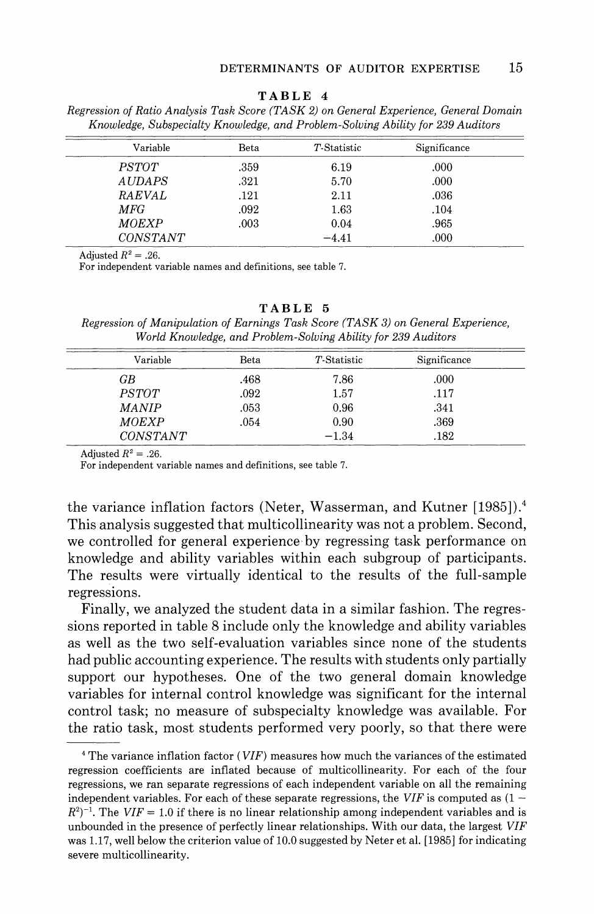#### **TABLE 4**

**Regression of Ratio Analysis Task Score (TASK 2) on General Experience, General Domain Knowledge, Subspecialty Knowledge, and Problem-Solving Ability for 239 Auditors** 

| Variable      | Beta | T Statistic | Significance |
|---------------|------|-------------|--------------|
| <b>PSTOT</b>  | .359 | 6.19        | .000         |
| <b>AUDAPS</b> | .321 | 5.70        | .000         |
| RAEVAL        | .121 | 2.11        | .036         |
| MFG           | .092 | 1.63        | .104         |
| <b>MOEXP</b>  | .003 | 0.04        | .965         |
| CONSTANT      |      | $-4.41$     | .000         |

Adjusted  $R^2 = .26$ .

**For independent variable names and definitions, see table 7.** 

| TABLE |  | -5 |
|-------|--|----|
|       |  |    |

**Regression of Manipulation of Earnings Task Score (TASK 3) on General Experience, World Knowledge, and Problem-Solving Ability for 239 Auditors** 

| Variable        | <b>Beta</b> | T-Statistic | Significance |  |
|-----------------|-------------|-------------|--------------|--|
| GB              | .468        | 7.86        | .000         |  |
| <b>PSTOT</b>    | .092        | 1.57        | .117         |  |
| <b>MANIP</b>    | .053        | 0.96        | .341         |  |
| <b>MOEXP</b>    | .054        | 0.90        | .369         |  |
| <b>CONSTANT</b> |             | $-1.34$     | .182         |  |

Adjusted  $R^2 = .26$ .

**For independent variable names and definitions, see table 7.** 

**the variance inflation factors (Neter, Wasserman, and Kutner [1985]).4 This analysis suggested that multicollinearity was not a problem. Second, we controlled for general experience by regressing task performance on knowledge and ability variables within each subgroup of participants. The results were virtually identical to the results of the full-sample regressions.** 

**Finally, we analyzed the student data in a similar fashion. The regressions reported in table 8 include only the knowledge and ability variables as well as the two self-evaluation variables since none of the students had public accounting experience. The results with students only partially support our hypotheses. One of the two general domain knowledge variables for internal control knowledge was significant for the internal control task; no measure of subspecialty knowledge was available. For the ratio task, most students performed very poorly, so that there were** 

**<sup>4</sup> The variance inflation factor (VIF) measures how much the variances of the estimated regression coefficients are inflated because of multicollinearity. For each of the four regressions, we ran separate regressions of each independent variable on all the remaining**  independent variables. For each of these separate regressions, the  $VIF$  is computed as  $(1 R^2$ <sup>-1</sup>. The VIF = 1.0 if there is no linear relationship among independent variables and is **unbounded in the presence of perfectly linear relationships. With our data, the largest VIF was 1.17, well below the criterion value of 10.0 suggested by Neter et al. [1985] for indicating severe multicollinearity.**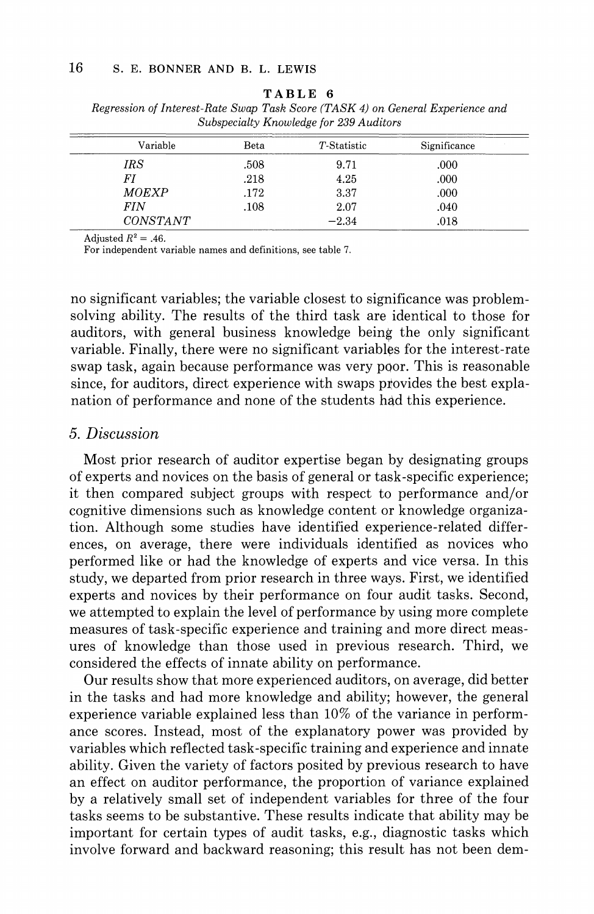| Variable        | Beta | T-Statistic | Significance |
|-----------------|------|-------------|--------------|
| <b>IRS</b>      | .508 | 9.71        | .000         |
| FI              | .218 | 4.25        | .000         |
| <b>MOEXP</b>    | .172 | 3.37        | .000         |
| FIN             | .108 | 2.07        | .040         |
| <i>CONSTANT</i> |      | $-2.34$     | .018         |

**TABLE 6 Regression of Interest-Rate Swap Task Score (TASK 4) on General Experience and Subspecialty Knowledge for 239 Auditors** 

Adjusted  $R^2 = .46$ .

**For independent variable names and definitions, see table 7.** 

**no significant variables; the variable closest to significance was problemsolving ability. The results of the third task are identical to those for auditors, with general business knowledge being the only significant variable. Finally, there were no significant variables for the interest-rate swap task, again because performance was very poor. This is reasonable since, for auditors, direct experience with swaps provides the best explanation of performance and none of the students had this experience.** 

### **5. Discussion**

**Most prior research of auditor expertise began by designating groups of experts and novices on the basis of general or task-specific experience; it then compared subject groups with respect to performance and/or cognitive dimensions such as knowledge content or knowledge organization. Although some studies have identified experience-related differences, on average, there were individuals identified as novices who performed like or had the knowledge of experts and vice versa. In this study, we departed from prior research in three ways. First, we identified experts and novices by their performance on four audit tasks. Second, we attempted to explain the level of performance by using more complete measures of task-specific experience and training and more direct measures of knowledge than those used in previous research. Third, we considered the effects of innate ability on performance.** 

**Our results show that more experienced auditors, on average, did better in the tasks and had more knowledge and ability; however, the general experience variable explained less than 10% of the variance in performance scores. Instead, most of the explanatory power was provided by variables which reflected task-specific training and experience and innate ability. Given the variety of factors posited by previous research to have an effect on auditor performance, the proportion of variance explained by a relatively small set of independent variables for three of the four tasks seems to be substantive. These results indicate that ability may be important for certain types of audit tasks, e.g., diagnostic tasks which involve forward and backward reasoning; this result has not been dem-**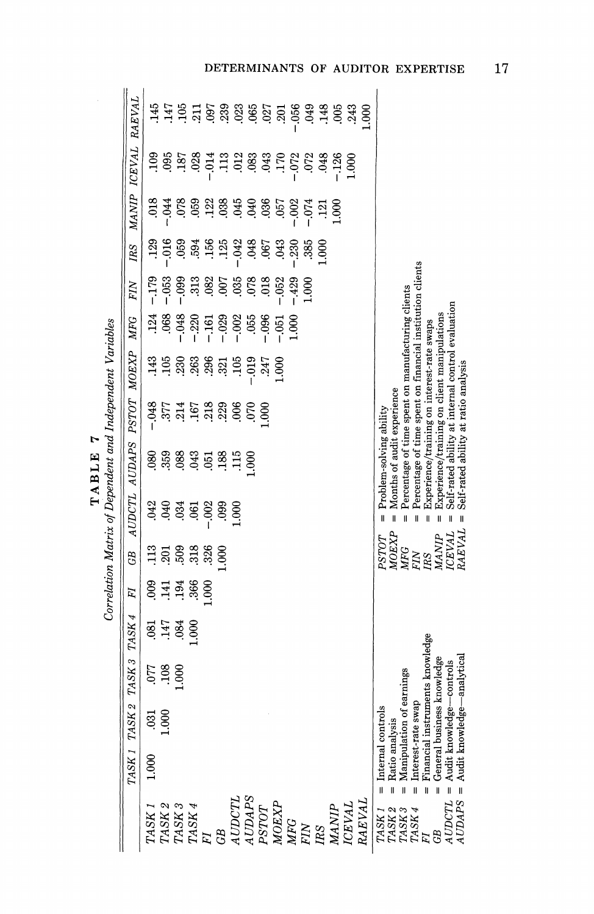|                                                           |                     | 145               | 147            | 105                                                               | $\overline{1}$   | <b>160</b> | 239              | .023                                                                                     | .065 | .027    | $\overline{5}$ | $-056$   | 049      | .148           | 005      | 243   | 600 |                                                                                                                                                                                                                                                                                                                                                                   |
|-----------------------------------------------------------|---------------------|-------------------|----------------|-------------------------------------------------------------------|------------------|------------|------------------|------------------------------------------------------------------------------------------|------|---------|----------------|----------|----------|----------------|----------|-------|-----|-------------------------------------------------------------------------------------------------------------------------------------------------------------------------------------------------------------------------------------------------------------------------------------------------------------------------------------------------------------------|
|                                                           | MANIP ICEVAL RAEVAL | 109               | 095            | .187                                                              | .028             | $-0.14$    | $\overline{113}$ | .012                                                                                     | .083 | .043    | 170            | $-072$   | $.072\,$ | .048           | $-126$   | 1.000 |     |                                                                                                                                                                                                                                                                                                                                                                   |
|                                                           |                     | 018               | $-044$         | .078                                                              | .059             | .122       | 038              | .045                                                                                     | 040  | .036    | .057           | $-0.002$ | $-074$   | $\overline{2}$ | .<br>00C |       |     |                                                                                                                                                                                                                                                                                                                                                                   |
|                                                           | <b>IRS</b>          | .129              | $-0.016$       | 059                                                               | 594              | .156       | .125             | $-.042$                                                                                  | 048  | .067    | 043            | 230      | 385      | 600            |          |       |     |                                                                                                                                                                                                                                                                                                                                                                   |
|                                                           | FIN                 | $-179$            | $-0.53$        | $-0.999$                                                          | 313              | .082       | $-007$           | 035                                                                                      | 078  | 018     | $-.052$        | $-429$   | 1.000    |                |          |       |     |                                                                                                                                                                                                                                                                                                                                                                   |
|                                                           | <b>MFC</b>          | .124              | 068            | $-0.48$                                                           | $-0.220$         | $-161$     | $-0.29$          | $-.002$                                                                                  | .055 | $-0.96$ | $-0.51$        | 800      |          |                |          |       |     |                                                                                                                                                                                                                                                                                                                                                                   |
|                                                           |                     | $\frac{143}{5}$   | 105            | .230                                                              | 263              | .296       | 321              | $-105$                                                                                   | 019  | .247    | 000            |          |          |                |          |       |     |                                                                                                                                                                                                                                                                                                                                                                   |
|                                                           | PSTOT MOEXP         | $-0.48$           | 377            | .214                                                              | .167             | .218       | 229              | 606                                                                                      | 070  | 600     |                |          |          |                |          |       |     |                                                                                                                                                                                                                                                                                                                                                                   |
| Correlation Matrix of Dependent and Independent Variables |                     | 080               | 359            | .088                                                              | .043             | $-51$      | <b>188</b>       | 115                                                                                      | 800  |         |                |          |          |                |          |       |     | Percentage of time spent on financial institution clients<br>Percentage of time spent on manufacturing clients<br>Self-rated ability at internal control evaluation<br>Experience/training on client manipulations<br>Experience/training on interest-rate swaps<br>Self-rated ability at ratio analysis<br>Months of audit experience<br>Problem-solving ability |
|                                                           | AUDCTL AUDAPS       | .042              | 040            | .034                                                              | $\overline{.06}$ | .002       | 099              | ă.                                                                                       |      |         |                |          |          |                |          |       |     | $\mathbf{I}$<br>$\mathbf{I}$<br>$\mathbf{I}$<br>$\mathbf I$<br>$\mathsf{II}$<br>$\mathbf{I}$<br>$\mathsf{I}$<br>$\mathbf{I}$                                                                                                                                                                                                                                      |
|                                                           | $G$ B               | $\overline{113}$  | $\overline{5}$ | 509                                                               | 318              | 326        | 100              |                                                                                          |      |         |                |          |          |                |          |       |     | RAEVAL<br>MOEXP<br>ICEVAL<br>MANIP<br>PSTOT<br>MFG<br>FIN<br><b>IRS</b>                                                                                                                                                                                                                                                                                           |
|                                                           | FI                  | $600$ .           | $\Xi$          | .194                                                              | 366              | 000.1      |                  |                                                                                          |      |         |                |          |          |                |          |       |     |                                                                                                                                                                                                                                                                                                                                                                   |
|                                                           | TASK4               | $\overline{8}$    | .147           | .084                                                              | 800              |            |                  |                                                                                          |      |         |                |          |          |                |          |       |     |                                                                                                                                                                                                                                                                                                                                                                   |
|                                                           | TASK3               | LL0.              | .108           | 0001                                                              |                  |            |                  |                                                                                          |      |         |                |          |          |                |          |       |     |                                                                                                                                                                                                                                                                                                                                                                   |
|                                                           | TASK 1 TASK 2       | $.031$<br>$.1000$ |                |                                                                   |                  |            |                  |                                                                                          |      |         |                |          |          |                |          |       |     | Audit knowledge—analytical<br>rols                                                                                                                                                                                                                                                                                                                                |
|                                                           |                     | 1.000             |                |                                                                   |                  |            |                  |                                                                                          |      |         |                |          |          |                |          |       |     | = Ratio analysis<br>= Manipulation of earnings<br>= Interest-rate swap<br>= General business knowledge<br>= General business knowledge<br>= Audit knowledge—controls<br>Internal cont<br>$\overline{\mathbf{u}}$<br>$\mathbf{I}$<br>$\mathbf{I}$<br>$\mathbf{I}$<br>$\mathbf{I}$<br>$\mathbf{I}$<br>$\mathbf{I}$<br>$\mathbf l$                                   |
|                                                           |                     | TASK 1            |                | $\begin{array}{lcl} TASK\,2\\ TASK\,3\\ TASK\,4\\ RI \end{array}$ |                  |            | GB               | AUDCTL<br>AUDAPS<br>PSTOT<br>PSTOT<br>MANTP<br>MANTP<br>MANTP<br>MANTP<br>MANTP<br>MANTP |      |         |                |          |          |                |          |       |     | <b>IUDAPS</b><br>AUDCTL<br>$\begin{array}{l} TASK\,I\\ TASK\,2\\ TASK\,3\\ TASK\,3\\ TASK\,4\\ FI \end{array}$                                                                                                                                                                                                                                                    |

**DETERMINANTS OF AUDITOR EXPERTISE 17**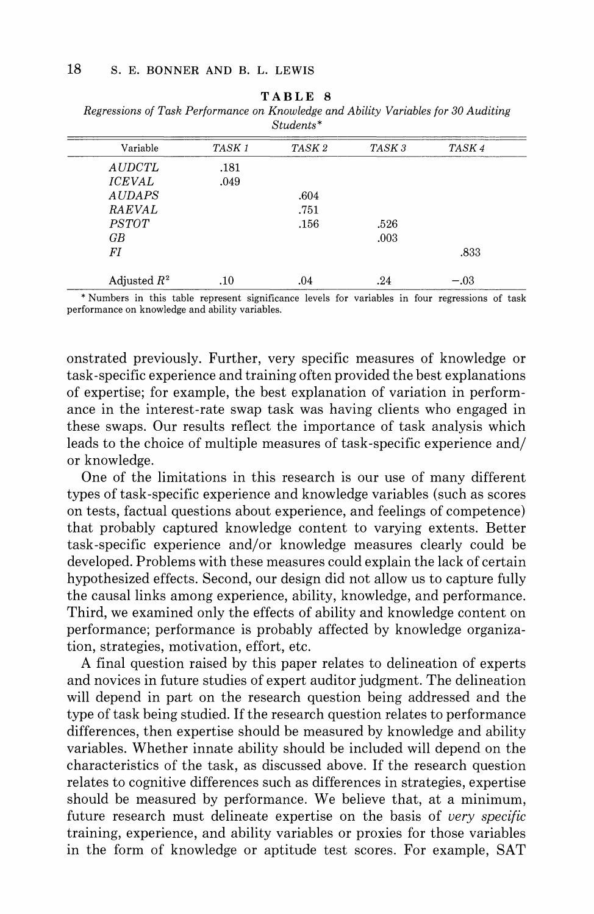|                | Students*         |                   |                   |                   |  |  |  |  |  |  |  |  |
|----------------|-------------------|-------------------|-------------------|-------------------|--|--|--|--|--|--|--|--|
| Variable       | TASK <sub>1</sub> | TASK <sub>2</sub> | TASK <sub>3</sub> | TASK <sub>4</sub> |  |  |  |  |  |  |  |  |
| AUDCTL         | .181              |                   |                   |                   |  |  |  |  |  |  |  |  |
| <b>ICEVAL</b>  | .049              |                   |                   |                   |  |  |  |  |  |  |  |  |
| <i>AUDAPS</i>  |                   | .604              |                   |                   |  |  |  |  |  |  |  |  |
| RAEVAL         |                   | .751              |                   |                   |  |  |  |  |  |  |  |  |
| <b>PSTOT</b>   |                   | .156              | .526              |                   |  |  |  |  |  |  |  |  |
| GB             |                   |                   | .003              |                   |  |  |  |  |  |  |  |  |
| FI             |                   |                   |                   | .833              |  |  |  |  |  |  |  |  |
| Adjusted $R^2$ | .10               | .04               | .24               | $-.03$            |  |  |  |  |  |  |  |  |

**TABLE 8 Regressions of Task Performance on Knowledge and Ability Variables for 30 Auditing** 

**\* Numbers in this table represent significance levels for variables in four regressions of task performance on knowledge and ability variables.** 

**onstrated previously. Further, very specific measures of knowledge or task-specific experience and training often provided the best explanations of expertise; for example, the best explanation of variation in performance in the interest-rate swap task was having clients who engaged in these swaps. Our results reflect the importance of task analysis which leads to the choice of multiple measures of task-specific experience and/ or knowledge.** 

**One of the limitations in this research is our use of many different types of task-specific experience and knowledge variables (such as scores on tests, factual questions about experience, and feelings of competence) that probably captured knowledge content to varying extents. Better task-specific experience and/or knowledge measures clearly could be developed. Problems with these measures could explain the lack of certain hypothesized effects. Second, our design did not allow us to capture fully the causal links among experience, ability, knowledge, and performance. Third, we examined only the effects of ability and knowledge content on performance; performance is probably affected by knowledge organization, strategies, motivation, effort, etc.** 

**A final question raised by this paper relates to delineation of experts and novices in future studies of expert auditor judgment. The delineation will depend in part on the research question being addressed and the type of task being studied. If the research question relates to performance differences, then expertise should be measured by knowledge and ability variables. Whether innate ability should be included will depend on the characteristics of the task, as discussed above. If the research question relates to cognitive differences such as differences in strategies, expertise should be measured by performance. We believe that, at a minimum, future research must delineate expertise on the basis of very specific training, experience, and ability variables or proxies for those variables in the form of knowledge or aptitude test scores. For example, SAT**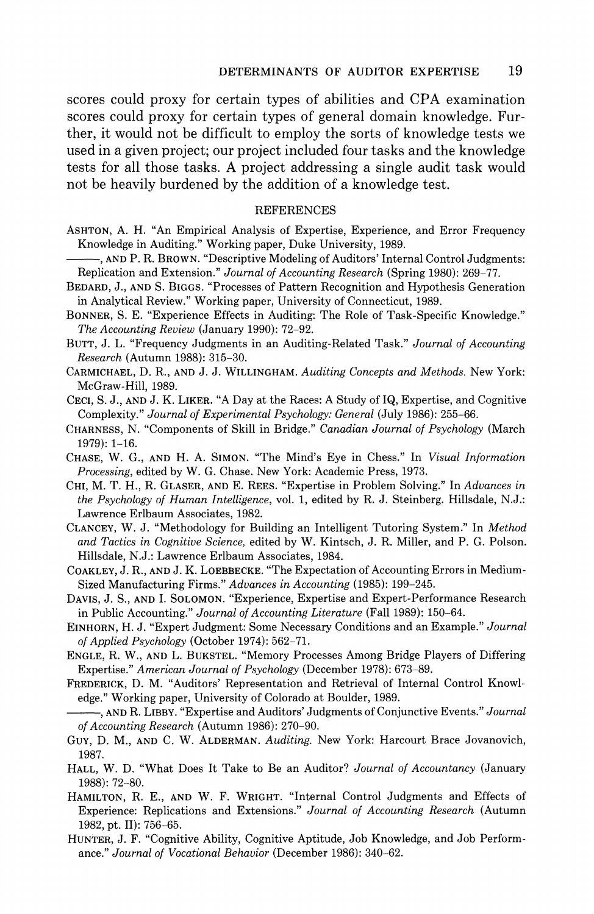**scores could proxy for certain types of abilities and CPA examination scores could proxy for certain types of general domain knowledge. Further, it would not be difficult to employ the sorts of knowledge tests we used in a given project; our project included four tasks and the knowledge tests for all those tasks. A project addressing a single audit task would not be heavily burdened by the addition of a knowledge test.** 

#### **REFERENCES**

- **ASHTON, A. H. "An Empirical Analysis of Expertise, Experience, and Error Frequency Knowledge in Auditing." Working paper, Duke University, 1989.**
- **, AND P. R. BROWN. "Descriptive Modeling of Auditors' Internal Control Judgments: Replication and Extension." Journal of Accounting Research (Spring 1980): 269-77.**
- **BEDARD, J., AND S. BIGGS. "Processes of Pattern Recognition and Hypothesis Generation in Analytical Review." Working paper, University of Connecticut, 1989.**
- **BONNER, S. E. "Experience Effects in Auditing: The Role of Task-Specific Knowledge." The Accounting Review (January 1990): 72-92.**
- **BUTT, J. L. "Frequency Judgments in an Auditing-Related Task." Journal of Accounting Research (Autumn 1988): 315-30.**
- **CARMICHAEL, D. R., AND J. J. WILLINGHAM. Auditing Concepts and Methods. New York: McGraw-Hill, 1989.**
- **CECI, S. J., AND J. K. LIKER. "A Day at the Races: A Study of IQ, Expertise, and Cognitive Complexity." Journal of Experimental Psychology: General (July 1986): 255-66.**
- **CHARNESS, N. "Components of Skill in Bridge." Canadian Journal of Psychology (March 1979): 1-16.**
- **CHASE, W. G., AND H. A. SIMON. "The Mind's Eye in Chess." In Visual Information Processing, edited by W. G. Chase. New York: Academic Press, 1973.**
- **CHI, M. T. H., R. GLASER, AND E. REES. "Expertise in Problem Solving." In Advances in the Psychology of Human Intelligence, vol. 1, edited by R. J. Steinberg. Hillsdale, N.J.: Lawrence Erlbaum Associates, 1982.**
- **CLANCEY, W. J. "Methodology for Building an Intelligent Tutoring System." In Method and Tactics in Cognitive Science, edited by W. Kintsch, J. R. Miller, and P. G. Polson. Hillsdale, N.J.: Lawrence Erlbaum Associates, 1984.**
- **COAKLEY, J. R., AND J. K. LOEBBECKE. "The Expectation of Accounting Errors in Medium-Sized Manufacturing Firms." Advances in Accounting (1985): 199-245.**
- **DAVIS, J. S., AND I. SOLOMON. "Experience, Expertise and Expert-Performance Research in Public Accounting." Journal of Accounting Literature (Fall 1989): 150-64.**
- **EINHORN, H. J. "Expert Judgment: Some Necessary Conditions and an Example." Journal of Applied Psychology (October 1974): 562-71.**
- **ENGLE, R. W., AND L. BUKSTEL. "Memory Processes Among Bridge Players of Differing Expertise." American Journal of Psychology (December 1978): 673-89.**
- **FREDERICK, D. M. "Auditors' Representation and Retrieval of Internal Control Knowledge." Working paper, University of Colorado at Boulder, 1989.**

**, AND R. LIBBY. "Expertise and Auditors' Judgments of Conjunctive Events." Journal of Accounting Research (Autumn 1986): 270-90.** 

- **Guy, D. M., AND C. W. ALDERMAN. Auditing. New York: Harcourt Brace Jovanovich, 1987.**
- **HALL, W. D. "What Does It Take to Be an Auditor? Journal of Accountancy (January 1988): 72-80.**
- **HAMILTON, R. E., AND W. F. WRIGHT. "Internal Control Judgments and Effects of Experience: Replications and Extensions." Journal of Accounting Research (Autumn 1982, pt. II): 756-65.**
- **HUNTER, J. F. "Cognitive Ability, Cognitive Aptitude, Job Knowledge, and Job Performance." Journal of Vocational Behavior (December 1986): 340-62.**